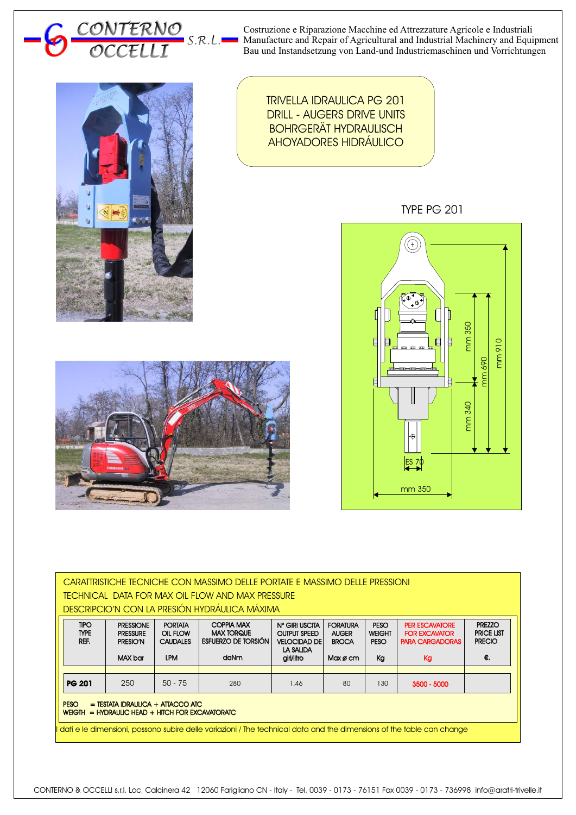Costruzione e Riparazione Macchine ed Attrezzature Agricole e Industriali ۰ Manufacture and Repair of Agricultural and Industrial Machinery and Equipment Bau und Instandsetzung von Land-und Industriemaschinen und Vorrichtungen



*OCCELLI*

*<sup>O</sup> OCCELLI <sup>C</sup> S.R.L.*

*CONTERNO*

TRIVELLA IDRAULICA PG 201 DRILL - AUGERS DRIVE UNITS BOHRGERÄT HYDRAULISCH AHOYADORES HIDRÁULICO

TYPE PG 201





| CARATTRISTICHE TECNICHE CON MASSIMO DELLE PORTATE E MASSIMO DELLE PRESSIONI<br>TECHNICAL DATA FOR MAX OIL FLOW AND MAX PRESSURE<br><b>DESCRIPCIO'N CON LA PRESIÓN HYDRÁULICA MÁXIMA</b>                                              |                                                            |                                                             |                                                                       |                                                                                    |                                                             |                                      |                                                                               |                                                           |  |  |  |
|--------------------------------------------------------------------------------------------------------------------------------------------------------------------------------------------------------------------------------------|------------------------------------------------------------|-------------------------------------------------------------|-----------------------------------------------------------------------|------------------------------------------------------------------------------------|-------------------------------------------------------------|--------------------------------------|-------------------------------------------------------------------------------|-----------------------------------------------------------|--|--|--|
| <b>TIPO</b><br><b>TYPE</b><br>REF.                                                                                                                                                                                                   | <b>PRESSIONE</b><br><b>PRESSURE</b><br>PRESIO'N<br>MAX bar | <b>PORTATA</b><br>OIL FLOW<br><b>CAUDALES</b><br><b>LPM</b> | <b>COPPIA MAX</b><br><b>MAX TORQUE</b><br>ESFUERZO DE TORSIÓN<br>daNm | N° GIRI USCITA<br><b>OUTPUT SPEED</b><br>VELOCIDAD DE I<br>LA SALIDA<br>giri/litro | <b>FORATURA</b><br><b>AUGER</b><br><b>BROCA</b><br>Max ø cm | PESO<br><b>WEIGHT</b><br>PESO.<br>Kg | <b>PER ESCAVATORE</b><br><b>FOR EXCAVATOR</b><br><b>PARA CARGADORAS</b><br>Kg | <b>PREZZO</b><br><b>PRICE LIST</b><br><b>PRECIO</b><br>€. |  |  |  |
| <b>PG 201</b>                                                                                                                                                                                                                        | 250                                                        | $50 - 75$                                                   | 280                                                                   | 1,46                                                                               | 80                                                          | 130                                  | $3500 - 5000$                                                                 |                                                           |  |  |  |
| <b>PESO</b><br>$=$ TESTATA IDRAULICA $+$ ATTACCO ATC<br>$WEIGHT = HYPRAULIC HEAD + HITCH FOR EXCAVATORATIC$<br>dati e le dimensioni, possono subire delle variazioni / The technical data and the dimensions of the table can change |                                                            |                                                             |                                                                       |                                                                                    |                                                             |                                      |                                                                               |                                                           |  |  |  |